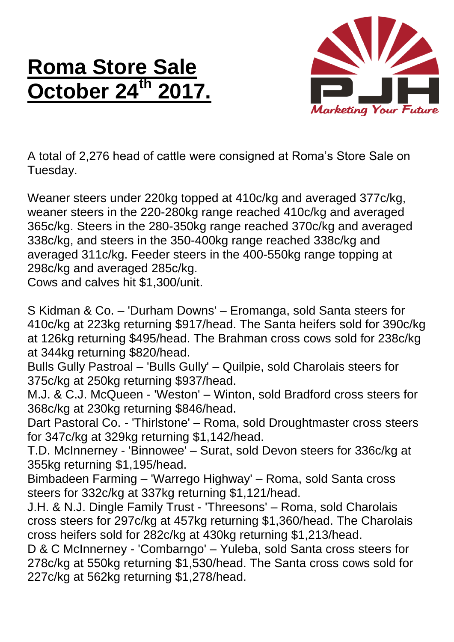## **Roma Store Sale October 24<sup>th</sup>**



A total of 2,276 head of cattle were consigned at Roma's Store Sale on Tuesday.

Weaner steers under 220kg topped at 410c/kg and averaged 377c/kg, weaner steers in the 220-280kg range reached 410c/kg and averaged 365c/kg. Steers in the 280-350kg range reached 370c/kg and averaged 338c/kg, and steers in the 350-400kg range reached 338c/kg and averaged 311c/kg. Feeder steers in the 400-550kg range topping at 298c/kg and averaged 285c/kg.

Cows and calves hit \$1,300/unit.

S Kidman & Co. – 'Durham Downs' – Eromanga, sold Santa steers for 410c/kg at 223kg returning \$917/head. The Santa heifers sold for 390c/kg at 126kg returning \$495/head. The Brahman cross cows sold for 238c/kg at 344kg returning \$820/head.

Bulls Gully Pastroal – 'Bulls Gully' – Quilpie, sold Charolais steers for 375c/kg at 250kg returning \$937/head.

M.J. & C.J. McQueen - 'Weston' – Winton, sold Bradford cross steers for 368c/kg at 230kg returning \$846/head.

Dart Pastoral Co. - 'Thirlstone' – Roma, sold Droughtmaster cross steers for 347c/kg at 329kg returning \$1,142/head.

T.D. McInnerney - 'Binnowee' – Surat, sold Devon steers for 336c/kg at 355kg returning \$1,195/head.

Bimbadeen Farming – 'Warrego Highway' – Roma, sold Santa cross steers for 332c/kg at 337kg returning \$1,121/head.

J.H. & N.J. Dingle Family Trust - 'Threesons' – Roma, sold Charolais cross steers for 297c/kg at 457kg returning \$1,360/head. The Charolais cross heifers sold for 282c/kg at 430kg returning \$1,213/head.

D & C McInnerney - 'Combarngo' – Yuleba, sold Santa cross steers for 278c/kg at 550kg returning \$1,530/head. The Santa cross cows sold for 227c/kg at 562kg returning \$1,278/head.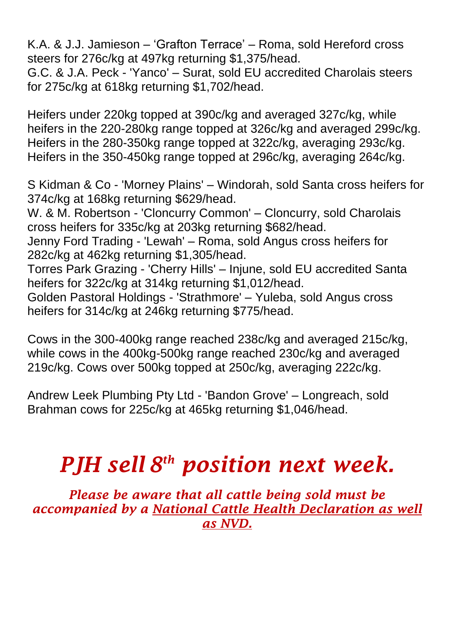K.A. & J.J. Jamieson – 'Grafton Terrace' – Roma, sold Hereford cross steers for 276c/kg at 497kg returning \$1,375/head.

G.C. & J.A. Peck - 'Yanco' – Surat, sold EU accredited Charolais steers for 275c/kg at 618kg returning \$1,702/head.

Heifers under 220kg topped at 390c/kg and averaged 327c/kg, while heifers in the 220-280kg range topped at 326c/kg and averaged 299c/kg. Heifers in the 280-350kg range topped at 322c/kg, averaging 293c/kg. Heifers in the 350-450kg range topped at 296c/kg, averaging 264c/kg.

S Kidman & Co - 'Morney Plains' – Windorah, sold Santa cross heifers for 374c/kg at 168kg returning \$629/head.

W. & M. Robertson - 'Cloncurry Common' – Cloncurry, sold Charolais cross heifers for 335c/kg at 203kg returning \$682/head.

Jenny Ford Trading - 'Lewah' – Roma, sold Angus cross heifers for 282c/kg at 462kg returning \$1,305/head.

Torres Park Grazing - 'Cherry Hills' – Injune, sold EU accredited Santa heifers for 322c/kg at 314kg returning \$1,012/head.

Golden Pastoral Holdings - 'Strathmore' – Yuleba, sold Angus cross heifers for 314c/kg at 246kg returning \$775/head.

Cows in the 300-400kg range reached 238c/kg and averaged 215c/kg, while cows in the 400kg-500kg range reached 230c/kg and averaged 219c/kg. Cows over 500kg topped at 250c/kg, averaging 222c/kg.

Andrew Leek Plumbing Pty Ltd - 'Bandon Grove' – Longreach, sold Brahman cows for 225c/kg at 465kg returning \$1,046/head.

## *PJH sell 8 th position next week.*

*Please be aware that all cattle being sold must be accompanied by a National Cattle Health Declaration as well as NVD.*